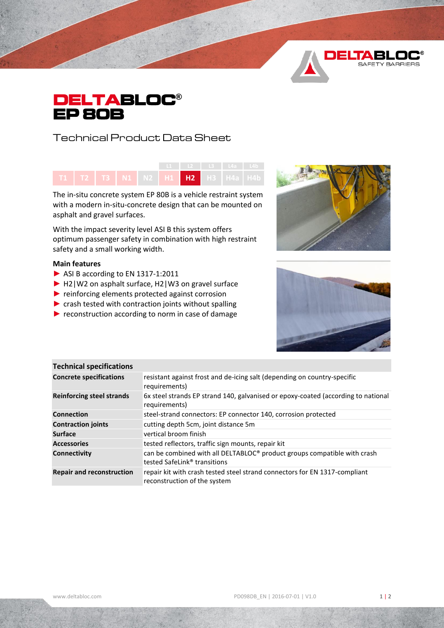



Technical Product Data Sheet



The in-situ concrete system EP 80B is a vehicle restraint system with a modern in-situ-concrete design that can be mounted on asphalt and gravel surfaces.

With the impact severity level ASI B this system offers optimum passenger safety in combination with high restraint safety and a small working width.

## **Main features**

- ► ASI B according to EN 1317-1:2011
- ► H2|W2 on asphalt surface, H2|W3 on gravel surface
- ► reinforcing elements protected against corrosion
- ▶ crash tested with contraction joints without spalling
- ▶ reconstruction according to norm in case of damage





| <b>Technical specifications</b>  |                                                                                                                      |
|----------------------------------|----------------------------------------------------------------------------------------------------------------------|
| <b>Concrete specifications</b>   | resistant against frost and de-icing salt (depending on country-specific<br>requirements)                            |
| <b>Reinforcing steel strands</b> | 6x steel strands EP strand 140, galvanised or epoxy-coated (according to national<br>requirements)                   |
| <b>Connection</b>                | steel-strand connectors: EP connector 140, corrosion protected                                                       |
| <b>Contraction joints</b>        | cutting depth 5cm, joint distance 5m                                                                                 |
| <b>Surface</b>                   | vertical broom finish                                                                                                |
| <b>Accessories</b>               | tested reflectors, traffic sign mounts, repair kit                                                                   |
| <b>Connectivity</b>              | can be combined with all DELTABLOC® product groups compatible with crash<br>tested SafeLink <sup>®</sup> transitions |
| <b>Repair and reconstruction</b> | repair kit with crash tested steel strand connectors for EN 1317-compliant<br>reconstruction of the system           |